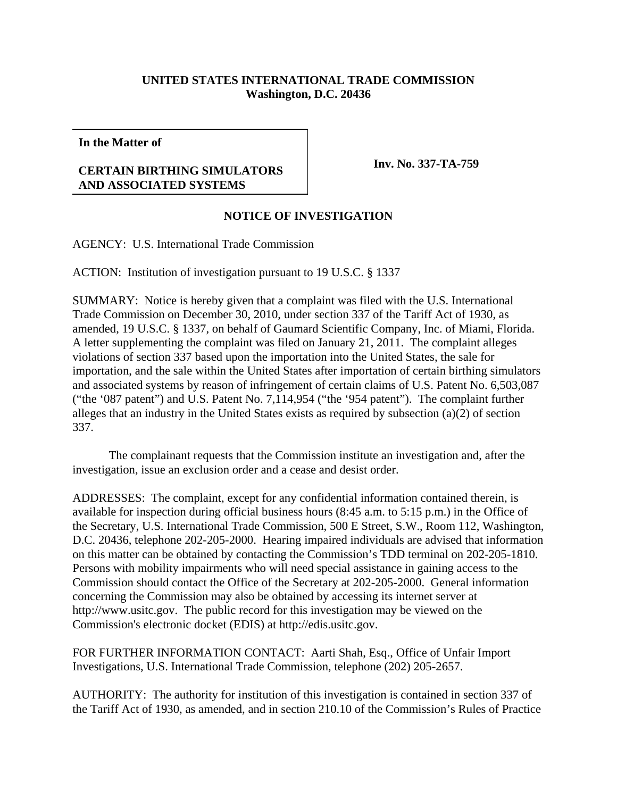## **UNITED STATES INTERNATIONAL TRADE COMMISSION Washington, D.C. 20436**

**In the Matter of**

## **CERTAIN BIRTHING SIMULATORS AND ASSOCIATED SYSTEMS**

**Inv. No. 337-TA-759**

## **NOTICE OF INVESTIGATION**

AGENCY: U.S. International Trade Commission

ACTION: Institution of investigation pursuant to 19 U.S.C. § 1337

SUMMARY: Notice is hereby given that a complaint was filed with the U.S. International Trade Commission on December 30, 2010, under section 337 of the Tariff Act of 1930, as amended, 19 U.S.C. § 1337, on behalf of Gaumard Scientific Company, Inc. of Miami, Florida. A letter supplementing the complaint was filed on January 21, 2011. The complaint alleges violations of section 337 based upon the importation into the United States, the sale for importation, and the sale within the United States after importation of certain birthing simulators and associated systems by reason of infringement of certain claims of U.S. Patent No. 6,503,087 ("the '087 patent") and U.S. Patent No. 7,114,954 ("the '954 patent"). The complaint further alleges that an industry in the United States exists as required by subsection (a)(2) of section 337.

The complainant requests that the Commission institute an investigation and, after the investigation, issue an exclusion order and a cease and desist order.

ADDRESSES: The complaint, except for any confidential information contained therein, is available for inspection during official business hours (8:45 a.m. to 5:15 p.m.) in the Office of the Secretary, U.S. International Trade Commission, 500 E Street, S.W., Room 112, Washington, D.C. 20436, telephone 202-205-2000. Hearing impaired individuals are advised that information on this matter can be obtained by contacting the Commission's TDD terminal on 202-205-1810. Persons with mobility impairments who will need special assistance in gaining access to the Commission should contact the Office of the Secretary at 202-205-2000. General information concerning the Commission may also be obtained by accessing its internet server at http://www.usitc.gov. The public record for this investigation may be viewed on the Commission's electronic docket (EDIS) at http://edis.usitc.gov.

FOR FURTHER INFORMATION CONTACT: Aarti Shah, Esq., Office of Unfair Import Investigations, U.S. International Trade Commission, telephone (202) 205-2657.

AUTHORITY: The authority for institution of this investigation is contained in section 337 of the Tariff Act of 1930, as amended, and in section 210.10 of the Commission's Rules of Practice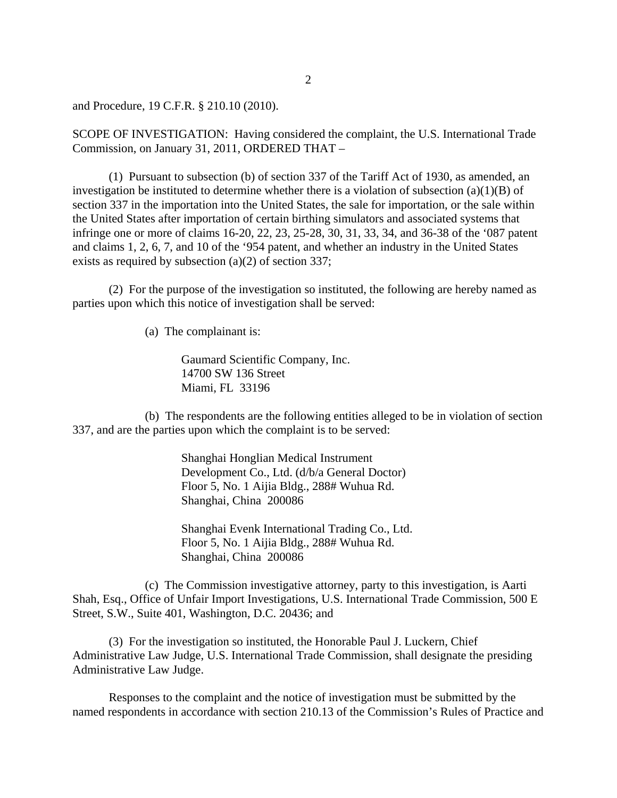and Procedure, 19 C.F.R. § 210.10 (2010).

SCOPE OF INVESTIGATION: Having considered the complaint, the U.S. International Trade Commission, on January 31, 2011, ORDERED THAT –

(1) Pursuant to subsection (b) of section 337 of the Tariff Act of 1930, as amended, an investigation be instituted to determine whether there is a violation of subsection  $(a)(1)(B)$  of section 337 in the importation into the United States, the sale for importation, or the sale within the United States after importation of certain birthing simulators and associated systems that infringe one or more of claims 16-20, 22, 23, 25-28, 30, 31, 33, 34, and 36-38 of the '087 patent and claims 1, 2, 6, 7, and 10 of the '954 patent, and whether an industry in the United States exists as required by subsection (a)(2) of section 337;

(2) For the purpose of the investigation so instituted, the following are hereby named as parties upon which this notice of investigation shall be served:

(a) The complainant is:

Gaumard Scientific Company, Inc. 14700 SW 136 Street Miami, FL 33196

(b) The respondents are the following entities alleged to be in violation of section 337, and are the parties upon which the complaint is to be served:

> Shanghai Honglian Medical Instrument Development Co., Ltd. (d/b/a General Doctor) Floor 5, No. 1 Aijia Bldg., 288# Wuhua Rd. Shanghai, China 200086

Shanghai Evenk International Trading Co., Ltd. Floor 5, No. 1 Aijia Bldg., 288# Wuhua Rd. Shanghai, China 200086

(c) The Commission investigative attorney, party to this investigation, is Aarti Shah, Esq., Office of Unfair Import Investigations, U.S. International Trade Commission, 500 E Street, S.W., Suite 401, Washington, D.C. 20436; and

(3) For the investigation so instituted, the Honorable Paul J. Luckern, Chief Administrative Law Judge, U.S. International Trade Commission, shall designate the presiding Administrative Law Judge.

Responses to the complaint and the notice of investigation must be submitted by the named respondents in accordance with section 210.13 of the Commission's Rules of Practice and